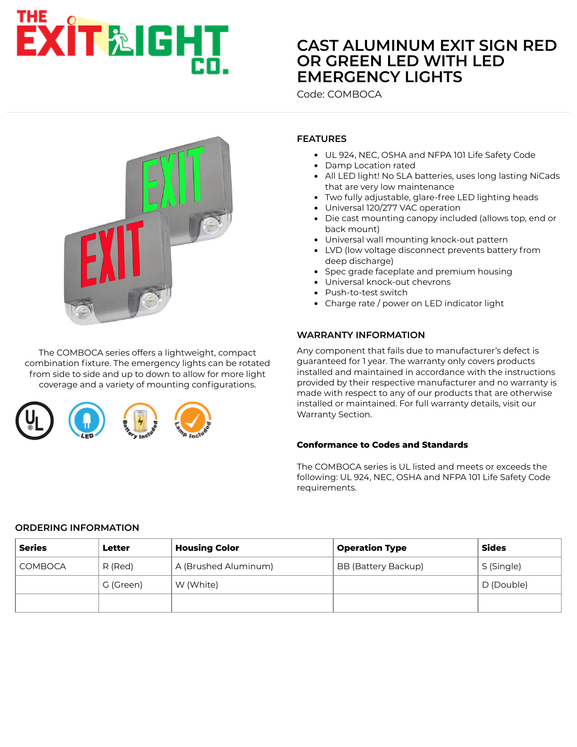# **EXIT&IGHT**

# **[CAST ALUMINUM EXIT SIGN RED](https://www.exitlightco.com/search?categories%5B%5D=&Search=comboca) OR GREEN LED WITH LED EMERGENCY LIGHTS**

Code: COMBOCA



The COMBOCA series offers a lightweight, compact combination fixture. The emergency lights can be rotated from side to side and up to down to allow for more light coverage and a variety of mounting configurations.



# **FEATURES**

- UL 924, NEC, OSHA and NFPA 101 Life Safety Code
- Damp Location rated
- All LED light! No SLA batteries, uses long lasting NiCads that are very low maintenance
- Two fully adjustable, glare-free LED lighting heads
- Universal 120/277 VAC operation
- Die cast mounting canopy included (allows top, end or back mount)
- Universal wall mounting knock-out pattern
- LVD (low voltage disconnect prevents battery from deep discharge)
- Spec grade faceplate and premium housing
- Universal knock-out chevrons
- Push-to-test switch
- Charge rate / power on LED indicator light

#### **WARRANTY INFORMATION**

Any component that fails due to manufacturer's defect is guaranteed for 1 year. The warranty only covers products installed and maintained in accordance with the instructions provided by their respective manufacturer and no warranty is made with respect to any of our products that are otherwise installed or maintained. For full warranty details, visit our Warranty Section.

#### **Conformance to Codes and Standards**

The COMBOCA series is UL listed and meets or exceeds the following: UL 924, NEC, OSHA and NFPA 101 Life Safety Code requirements.

#### **ORDERING INFORMATION**

| <b>Series</b>  | Letter    | <b>Housing Color</b> | <b>Operation Type</b> | <b>Sides</b> |
|----------------|-----------|----------------------|-----------------------|--------------|
| <b>COMBOCA</b> | R (Red)   | A (Brushed Aluminum) | BB (Battery Backup)   | S (Single)   |
|                | G (Green) | W (White)            |                       | D (Double)   |
|                |           |                      |                       |              |